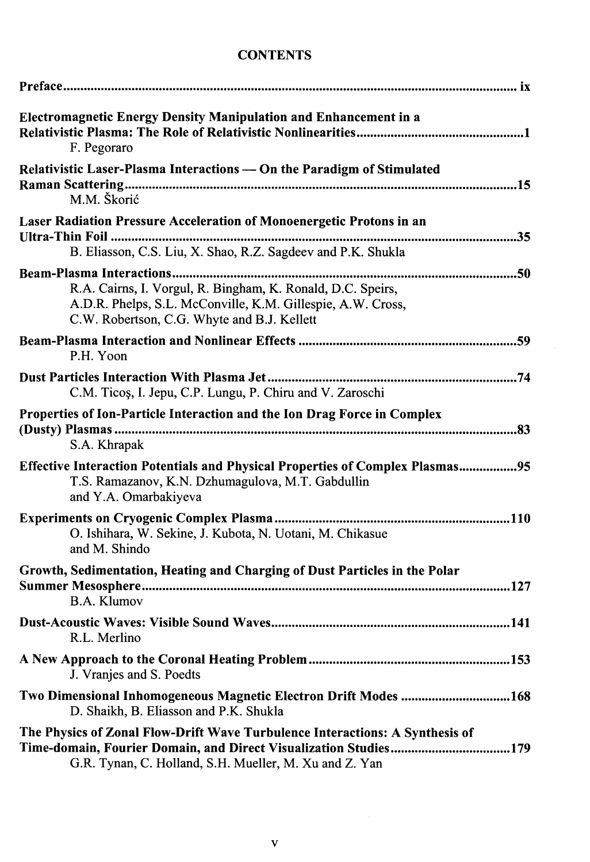## **CONTENTS**

| Electromagnetic Energy Density Manipulation and Enhancement in a<br>F. Pegoraro                                                                                                                            |
|------------------------------------------------------------------------------------------------------------------------------------------------------------------------------------------------------------|
| Relativistic Laser-Plasma Interactions - On the Paradigm of Stimulated<br>M.M. Škorić                                                                                                                      |
| Laser Radiation Pressure Acceleration of Monoenergetic Protons in an<br>B. Eliasson, C.S. Liu, X. Shao, R.Z. Sagdeev and P.K. Shukla                                                                       |
| R.A. Cairns, I. Vorgul, R. Bingham, K. Ronald, D.C. Speirs,<br>A.D.R. Phelps, S.L. McConville, K.M. Gillespie, A.W. Cross,<br>C.W. Robertson, C.G. Whyte and B.J. Kellett                                  |
| P.H. Yoon                                                                                                                                                                                                  |
| C.M. Ticoș, I. Jepu, C.P. Lungu, P. Chiru and V. Zaroschi                                                                                                                                                  |
| Properties of Ion-Particle Interaction and the Ion Drag Force in Complex<br>S.A. Khrapak                                                                                                                   |
| Effective Interaction Potentials and Physical Properties of Complex Plasmas95<br>T.S. Ramazanov, K.N. Dzhumagulova, M.T. Gabdullin<br>and Y.A. Omarbakiyeva                                                |
| O. Ishihara, W. Sekine, J. Kubota, N. Uotani, M. Chikasue<br>and M. Shindo                                                                                                                                 |
| Growth, Sedimentation, Heating and Charging of Dust Particles in the Polar<br><b>B.A. Klumov</b>                                                                                                           |
| R.L. Merlino                                                                                                                                                                                               |
| J. Vranjes and S. Poedts                                                                                                                                                                                   |
| Two Dimensional Inhomogeneous Magnetic Electron Drift Modes 168<br>D. Shaikh, B. Eliasson and P.K. Shukla                                                                                                  |
| The Physics of Zonal Flow-Drift Wave Turbulence Interactions: A Synthesis of<br>Time-domain, Fourier Domain, and Direct Visualization Studies179<br>G.R. Tynan, C. Holland, S.H. Mueller, M. Xu and Z. Yan |